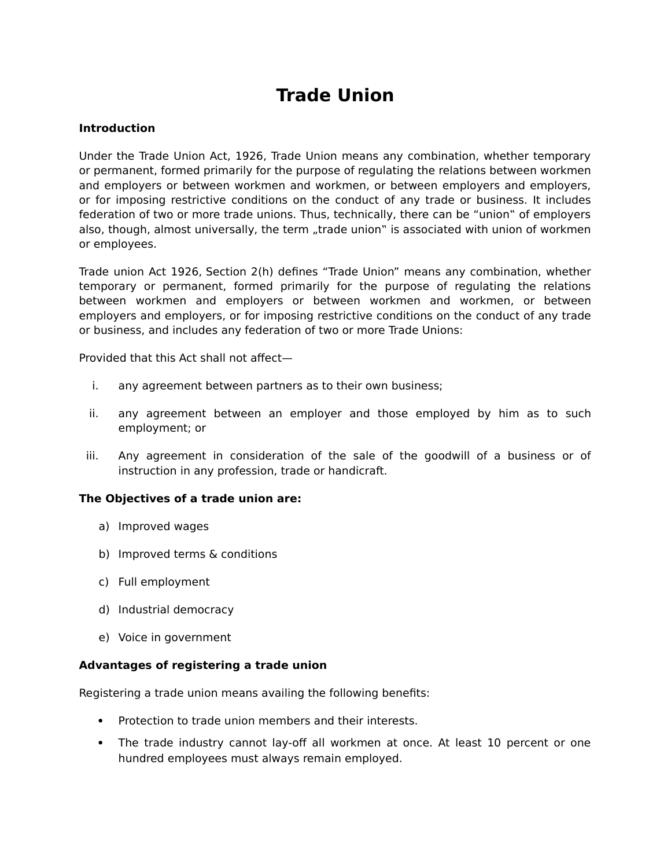# **Trade Union**

#### **Introduction**

Under the Trade Union Act, 1926, Trade Union means any combination, whether temporary or permanent, formed primarily for the purpose of regulating the relations between workmen and employers or between workmen and workmen, or between employers and employers, or for imposing restrictive conditions on the conduct of any trade or business. It includes federation of two or more trade unions. Thus, technically, there can be "union" of employers also, though, almost universally, the term "trade union" is associated with union of workmen or employees.

Trade union Act 1926, Section 2(h) defines "Trade Union" means any combination, whether temporary or permanent, formed primarily for the purpose of regulating the relations between workmen and employers or between workmen and workmen, or between employers and employers, or for imposing restrictive conditions on the conduct of any trade or business, and includes any federation of two or more Trade Unions:

Provided that this Act shall not affect—

- i. any agreement between partners as to their own business;
- ii. any agreement between an employer and those employed by him as to such employment; or
- iii. Any agreement in consideration of the sale of the goodwill of a business or of instruction in any profession, trade or handicraft.

## **The Objectives of a trade union are:**

- a) Improved wages
- b) Improved terms & conditions
- c) Full employment
- d) Industrial democracy
- e) Voice in government

#### **Advantages of registering a trade union**

Registering a trade union means availing the following benefits:

- Protection to trade union members and their interests.
- The trade industry cannot lay-off all workmen at once. At least 10 percent or one hundred employees must always remain employed.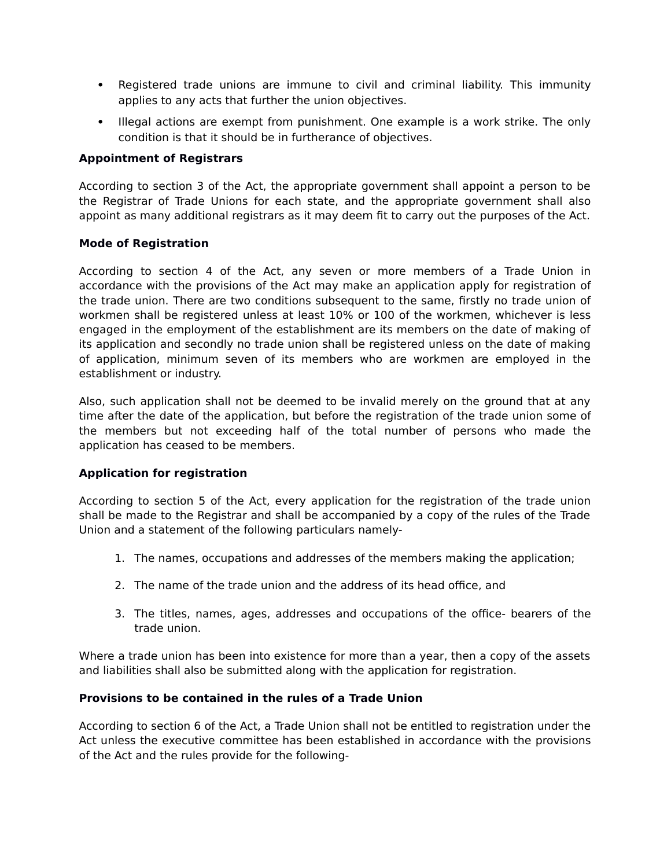- Registered trade unions are immune to civil and criminal liability. This immunity applies to any acts that further the union objectives.
- Illegal actions are exempt from punishment. One example is a work strike. The only condition is that it should be in furtherance of objectives.

## **Appointment of Registrars**

According to section 3 of the Act, the appropriate government shall appoint a person to be the Registrar of Trade Unions for each state, and the appropriate government shall also appoint as many additional registrars as it may deem fit to carry out the purposes of the Act.

### **Mode of Registration**

According to section 4 of the Act, any seven or more members of a Trade Union in accordance with the provisions of the Act may make an application apply for registration of the trade union. There are two conditions subsequent to the same, firstly no trade union of workmen shall be registered unless at least 10% or 100 of the workmen, whichever is less engaged in the employment of the establishment are its members on the date of making of its application and secondly no trade union shall be registered unless on the date of making of application, minimum seven of its members who are workmen are employed in the establishment or industry.

Also, such application shall not be deemed to be invalid merely on the ground that at any time after the date of the application, but before the registration of the trade union some of the members but not exceeding half of the total number of persons who made the application has ceased to be members.

## **Application for registration**

According to section 5 of the Act, every application for the registration of the trade union shall be made to the Registrar and shall be accompanied by a copy of the rules of the Trade Union and a statement of the following particulars namely-

- 1. The names, occupations and addresses of the members making the application;
- 2. The name of the trade union and the address of its head office, and
- 3. The titles, names, ages, addresses and occupations of the office- bearers of the trade union.

Where a trade union has been into existence for more than a year, then a copy of the assets and liabilities shall also be submitted along with the application for registration.

#### **Provisions to be contained in the rules of a Trade Union**

According to section 6 of the Act, a Trade Union shall not be entitled to registration under the Act unless the executive committee has been established in accordance with the provisions of the Act and the rules provide for the following-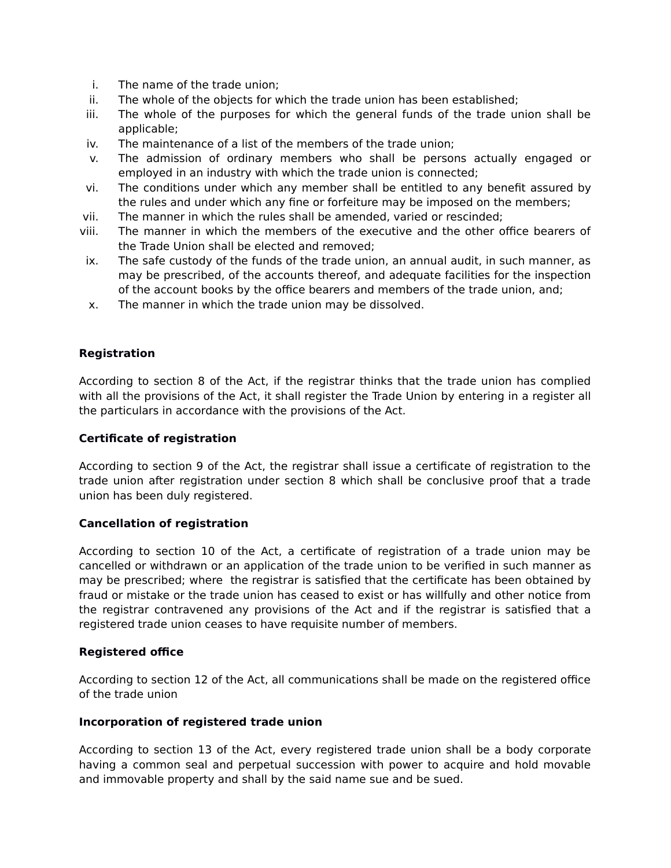- i. The name of the trade union;
- ii. The whole of the objects for which the trade union has been established;
- iii. The whole of the purposes for which the general funds of the trade union shall be applicable;
- iv. The maintenance of a list of the members of the trade union;
- v. The admission of ordinary members who shall be persons actually engaged or employed in an industry with which the trade union is connected;
- vi. The conditions under which any member shall be entitled to any benefit assured by the rules and under which any fine or forfeiture may be imposed on the members;
- vii. The manner in which the rules shall be amended, varied or rescinded;
- viii. The manner in which the members of the executive and the other office bearers of the Trade Union shall be elected and removed;
- ix. The safe custody of the funds of the trade union, an annual audit, in such manner, as may be prescribed, of the accounts thereof, and adequate facilities for the inspection of the account books by the office bearers and members of the trade union, and;
- x. The manner in which the trade union may be dissolved.

## **Registration**

According to section 8 of the Act, if the registrar thinks that the trade union has complied with all the provisions of the Act, it shall register the Trade Union by entering in a register all the particulars in accordance with the provisions of the Act.

#### **Certificate of registration**

According to section 9 of the Act, the registrar shall issue a certificate of registration to the trade union after registration under section 8 which shall be conclusive proof that a trade union has been duly registered.

#### **Cancellation of registration**

According to section 10 of the Act, a certificate of registration of a trade union may be cancelled or withdrawn or an application of the trade union to be verified in such manner as may be prescribed; where the registrar is satisfied that the certificate has been obtained by fraud or mistake or the trade union has ceased to exist or has willfully and other notice from the registrar contravened any provisions of the Act and if the registrar is satisfied that a registered trade union ceases to have requisite number of members.

#### **Registered office**

According to section 12 of the Act, all communications shall be made on the registered office of the trade union

#### **Incorporation of registered trade union**

According to section 13 of the Act, every registered trade union shall be a body corporate having a common seal and perpetual succession with power to acquire and hold movable and immovable property and shall by the said name sue and be sued.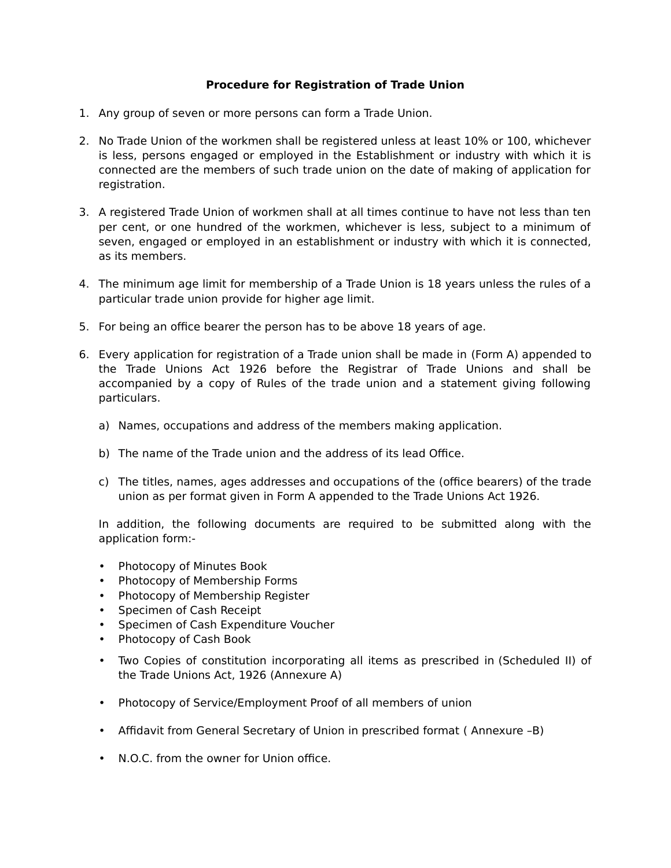## **Procedure for Registration of Trade Union**

- 1. Any group of seven or more persons can form a Trade Union.
- 2. No Trade Union of the workmen shall be registered unless at least 10% or 100, whichever is less, persons engaged or employed in the Establishment or industry with which it is connected are the members of such trade union on the date of making of application for registration.
- 3. A registered Trade Union of workmen shall at all times continue to have not less than ten per cent, or one hundred of the workmen, whichever is less, subject to a minimum of seven, engaged or employed in an establishment or industry with which it is connected, as its members.
- 4. The minimum age limit for membership of a Trade Union is 18 years unless the rules of a particular trade union provide for higher age limit.
- 5. For being an office bearer the person has to be above 18 years of age.
- 6. Every application for registration of a Trade union shall be made in (Form A) appended to the Trade Unions Act 1926 before the Registrar of Trade Unions and shall be accompanied by a copy of Rules of the trade union and a statement giving following particulars.
	- a) Names, occupations and address of the members making application.
	- b) The name of the Trade union and the address of its lead Office.
	- c) The titles, names, ages addresses and occupations of the (office bearers) of the trade union as per format given in Form A appended to the Trade Unions Act 1926.

In addition, the following documents are required to be submitted along with the application form:-

- Photocopy of Minutes Book
- Photocopy of Membership Forms
- Photocopy of Membership Register
- Specimen of Cash Receipt
- Specimen of Cash Expenditure Voucher
- Photocopy of Cash Book
- Two Copies of constitution incorporating all items as prescribed in (Scheduled II) of the Trade Unions Act, 1926 (Annexure A)
- Photocopy of Service/Employment Proof of all members of union
- Affidavit from General Secretary of Union in prescribed format ( Annexure –B)
- N.O.C. from the owner for Union office.